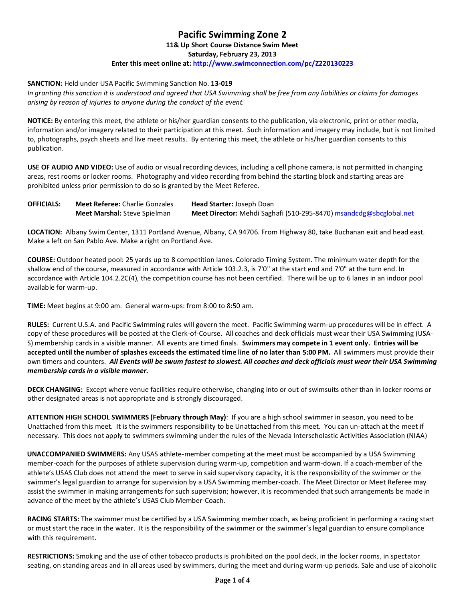## **Pacific Swimming Zone 2**

**11& Up Short Course Distance Swim Meet** 

**Saturday, February 23, 2013**

## **Enter this meet online at[: http://www.swimconnection.com/pc/Z220130223](http://www.swimconnection.com/pc/Z220130223)**

## **SANCTION:** Held under USA Pacific Swimming Sanction No. **13-019**

*In granting this sanction it is understood and agreed that USA Swimming shall be free from any liabilities or claims for damages arising by reason of injuries to anyone during the conduct of the event.*

**NOTICE:** By entering this meet, the athlete or his/her guardian consents to the publication, via electronic, print or other media, information and/or imagery related to their participation at this meet. Such information and imagery may include, but is not limited to, photographs, psych sheets and live meet results. By entering this meet, the athlete or his/her guardian consents to this publication.

**USE OF AUDIO AND VIDEO:** Use of audio or visual recording devices, including a cell phone camera, is not permitted in changing areas, rest rooms or locker rooms. Photography and video recording from behind the starting block and starting areas are prohibited unless prior permission to do so is granted by the Meet Referee.

| <b>OFFICIALS:</b> | <b>Meet Referee:</b> Charlie Gonzales | <b>Head Starter: Joseph Doan</b>                                   |
|-------------------|---------------------------------------|--------------------------------------------------------------------|
|                   | <b>Meet Marshal:</b> Steve Spielman   | Meet Director: Mehdi Saghafi (510-295-8470) msandcdg@sbcglobal.net |

**LOCATION:** Albany Swim Center, 1311 Portland Avenue, Albany, CA 94706. From Highway 80, take Buchanan exit and head east. Make a left on San Pablo Ave. Make a right on Portland Ave.

**COURSE:** Outdoor heated pool: 25 yards up to 8 competition lanes. Colorado Timing System. The minimum water depth for the shallow end of the course, measured in accordance with Article 103.2.3, is 7'0" at the start end and 7'0" at the turn end. In accordance with Article 104.2.2C(4), the competition course has not been certified. There will be up to 6 lanes in an indoor pool available for warm-up.

**TIME:** Meet begins at 9:00 am. General warm-ups: from 8:00 to 8:50 am.

**RULES:** Current U.S.A. and Pacific Swimming rules will govern the meet. Pacific Swimming warm-up procedures will be in effect. A copy of these procedures will be posted at the Clerk-of-Course. All coaches and deck officials must wear their USA Swimming (USA-S) membership cards in a visible manner. All events are timed finals. **Swimmers may compete in 1 event only. Entries will be accepted until the number of splashes exceeds the estimated time line of no later than 5:00 PM.** All swimmers must provide their own timers and counters. *All Events will be swum fastest to slowest. All coaches and deck officials must wear their USA Swimming membership cards in a visible manner.*

**DECK CHANGING:** Except where venue facilities require otherwise, changing into or out of swimsuits other than in locker rooms or other designated areas is not appropriate and is strongly discouraged.

**ATTENTION HIGH SCHOOL SWIMMERS (February through May)**: If you are a high school swimmer in season, you need to be Unattached from this meet. It is the swimmers responsibility to be Unattached from this meet. You can un-attach at the meet if necessary. This does not apply to swimmers swimming under the rules of the Nevada Interscholastic Activities Association (NIAA)

**UNACCOMPANIED SWIMMERS:** Any USAS athlete-member competing at the meet must be accompanied by a USA Swimming member-coach for the purposes of athlete supervision during warm-up, competition and warm-down. If a coach-member of the athlete's USAS Club does not attend the meet to serve in said supervisory capacity, it is the responsibility of the swimmer or the swimmer's legal guardian to arrange for supervision by a USA Swimming member-coach. The Meet Director or Meet Referee may assist the swimmer in making arrangements for such supervision; however, it is recommended that such arrangements be made in advance of the meet by the athlete's USAS Club Member-Coach.

**RACING STARTS:** The swimmer must be certified by a USA Swimming member coach, as being proficient in performing a racing start or must start the race in the water. It is the responsibility of the swimmer or the swimmer's legal guardian to ensure compliance with this requirement.

**RESTRICTIONS:** Smoking and the use of other tobacco products is prohibited on the pool deck, in the locker rooms, in spectator seating, on standing areas and in all areas used by swimmers, during the meet and during warm-up periods. Sale and use of alcoholic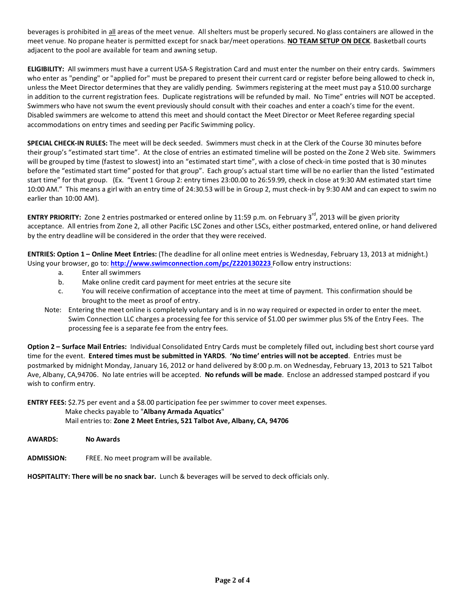beverages is prohibited in all areas of the meet venue. All shelters must be properly secured. No glass containers are allowed in the meet venue. No propane heater is permitted except for snack bar/meet operations. **NO TEAM SETUP ON DECK**. Basketball courts adjacent to the pool are available for team and awning setup.

**ELIGIBILITY:** All swimmers must have a current USA-S Registration Card and must enter the number on their entry cards. Swimmers who enter as "pending" or "applied for" must be prepared to present their current card or register before being allowed to check in, unless the Meet Director determines that they are validly pending. Swimmers registering at the meet must pay a \$10.00 surcharge in addition to the current registration fees. Duplicate registrations will be refunded by mail. No Time" entries will NOT be accepted. Swimmers who have not swum the event previously should consult with their coaches and enter a coach's time for the event. Disabled swimmers are welcome to attend this meet and should contact the Meet Director or Meet Referee regarding special accommodations on entry times and seeding per Pacific Swimming policy.

**SPECIAL CHECK-IN RULES:** The meet will be deck seeded. Swimmers must check in at the Clerk of the Course 30 minutes before their group's "estimated start time". At the close of entries an estimated timeline will be posted on the Zone 2 Web site. Swimmers will be grouped by time (fastest to slowest) into an "estimated start time", with a close of check-in time posted that is 30 minutes before the "estimated start time" posted for that group". Each group's actual start time will be no earlier than the listed "estimated start time" for that group. (Ex. "Event 1 Group 2: entry times 23:00.00 to 26:59.99, check in close at 9:30 AM estimated start time 10:00 AM." This means a girl with an entry time of 24:30.53 will be in Group 2, must check-in by 9:30 AM and can expect to swim no earlier than 10:00 AM).

**ENTRY PRIORITY:** Zone 2 entries postmarked or entered online by 11:59 p.m. on February 3<sup>rd</sup>, 2013 will be given priority acceptance. All entries from Zone 2, all other Pacific LSC Zones and other LSCs, either postmarked, entered online, or hand delivered by the entry deadline will be considered in the order that they were received.

**ENTRIES: Option 1 – Online Meet Entries:** (The deadline for all online meet entries is Wednesday, February 13, 2013 at midnight.) Using your browser, go to: **<http://www.swimconnection.com/pc/Z220130223>** Follow entry instructions:

- a. Enter all swimmers
- b. Make online credit card payment for meet entries at the secure site
- c. You will receive confirmation of acceptance into the meet at time of payment. This confirmation should be brought to the meet as proof of entry.
- Note: Entering the meet online is completely voluntary and is in no way required or expected in order to enter the meet. Swim Connection LLC charges a processing fee for this service of \$1.00 per swimmer plus 5% of the Entry Fees. The processing fee is a separate fee from the entry fees.

**Option 2 – Surface Mail Entries:** Individual Consolidated Entry Cards must be completely filled out, including best short course yard time for the event. **Entered times must be submitted in YARDS**. **'No time' entries will not be accepted**. Entries must be postmarked by midnight Monday, January 16, 2012 or hand delivered by 8:00 p.m. on Wednesday, February 13, 2013 to 521 Talbot Ave, Albany, CA,94706. No late entries will be accepted. **No refunds will be made**. Enclose an addressed stamped postcard if you wish to confirm entry.

**ENTRY FEES:** \$2.75 per event and a \$8.00 participation fee per swimmer to cover meet expenses. Make checks payable to "**Albany Armada Aquatics**"

Mail entries to: **Zone 2 Meet Entries, 521 Talbot Ave, Albany, CA, 94706**

**AWARDS: No Awards**

**ADMISSION:** FREE. No meet program will be available.

**HOSPITALITY: There will be no snack bar.** Lunch & beverages will be served to deck officials only.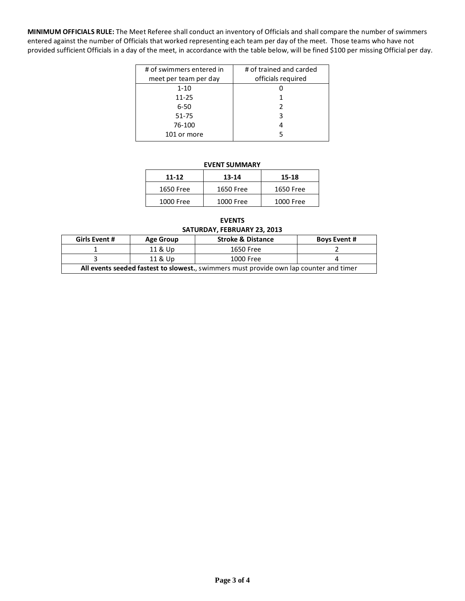**MINIMUM OFFICIALS RULE:** The Meet Referee shall conduct an inventory of Officials and shall compare the number of swimmers entered against the number of Officials that worked representing each team per day of the meet. Those teams who have not provided sufficient Officials in a day of the meet, in accordance with the table below, will be fined \$100 per missing Official per day.

| # of swimmers entered in | # of trained and carded |
|--------------------------|-------------------------|
| meet per team per day    | officials required      |
| $1 - 10$                 |                         |
| $11 - 25$                |                         |
| $6 - 50$                 | 2                       |
| $51 - 75$                | 3                       |
| 76-100                   |                         |
| 101 or more              |                         |
|                          |                         |

## **EVENT SUMMARY**

| 11-12     | 13-14     | 15-18     |
|-----------|-----------|-----------|
| 1650 Free | 1650 Free | 1650 Free |
| 1000 Free | 1000 Free | 1000 Free |

**EVENTS SATURDAY, FEBRUARY 23, 2013**

| <b>Girls Event #</b>                                                                   | Age Group | <b>Stroke &amp; Distance</b> | <b>Boys Event #</b> |  |  |  |
|----------------------------------------------------------------------------------------|-----------|------------------------------|---------------------|--|--|--|
|                                                                                        | 11 & Up   | 1650 Free                    |                     |  |  |  |
|                                                                                        | 11 & Up   | 1000 Free                    |                     |  |  |  |
| All events seeded fastest to slowest., swimmers must provide own lap counter and timer |           |                              |                     |  |  |  |